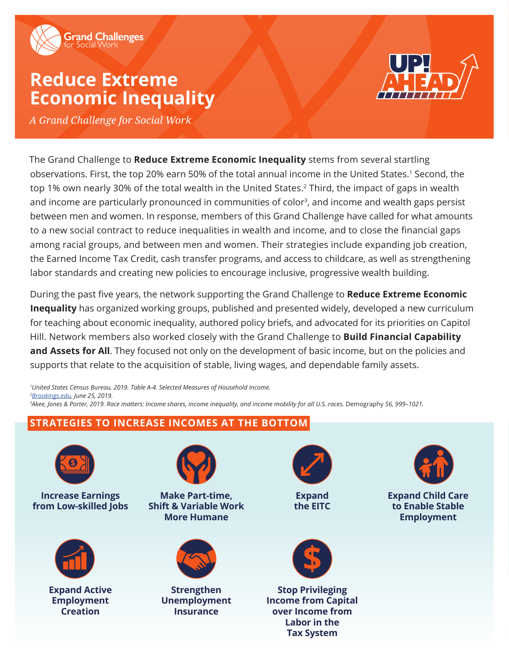

# **Reduce Extreme Economic Inequality**



*A Grand Challenge for Social Work*

The Grand Challenge to **Reduce Extreme Economic Inequality** stems from several startling observations. First, the top 20% earn 50% of the total annual income in the United States.<sup>1</sup> Second, the top 1% own nearly 30% of the total wealth in the United States.2 Third, the impact of gaps in wealth and income are particularly pronounced in communities of color<sup>3</sup>, and income and wealth gaps persist between men and women. In response, members of this Grand Challenge have called for what amounts to a new social contract to reduce inequalities in wealth and income, and to close the financial gaps among racial groups, and between men and women. Their strategies include expanding job creation, the Earned Income Tax Credit, cash transfer programs, and access to childcare, as well as strengthening labor standards and creating new policies to encourage inclusive, progressive wealth building.

During the past five years, the network supporting the Grand Challenge to **Reduce Extreme Economic Inequality** has organized working groups, published and presented widely, developed a new curriculum for teaching about economic inequality, authored policy briefs, and advocated for its priorities on Capitol Hill. Network members also worked closely with the Grand Challenge to **Build Financial Capability and Assets for All**. They focused not only on the development of basic income, but on the policies and supports that relate to the acquisition of stable, living wages, and dependable family assets.

*1 United States Census Bureau, 2019. Table A-4. Selected Measures of Household Income. 2 [Brookings.edu](https://www.brookings.edu/blog/up-front/2019/06/25/six-facts-about-wealth-in-the-united-states/), June 25, 2019. 3 Akee, Jones & Porter, 2019. Race matters: Income shares, income inequality, and income mobility for all U.S. races.* Demography *56, 999–1021.*

## **STRATEGIES TO INCREASE INCOMES AT THE BOTTOM**



**Increase Earnings from Low-skilled Jobs**



**Expand Active Employment Creation**



**Make Part-time, Shift & Variable Work More Humane**



**Strengthen Unemployment Insurance**



**Expand the EITC**



**Stop Privileging Income from Capital over Income from Labor in the Tax System**



**Expand Child Care to Enable Stable Employment**